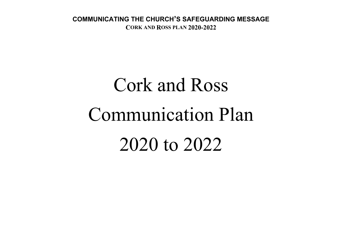# Cork and Ross Communication Plan 2020 to 2022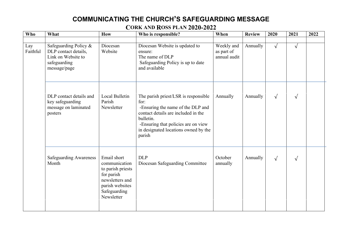| Who             | What                                                                                                | How                                                                                                                                 | Who is responsible?                                                                                                                                                                                                            | When                                     | <b>Review</b> | 2020       | 2021       | 2022 |
|-----------------|-----------------------------------------------------------------------------------------------------|-------------------------------------------------------------------------------------------------------------------------------------|--------------------------------------------------------------------------------------------------------------------------------------------------------------------------------------------------------------------------------|------------------------------------------|---------------|------------|------------|------|
| Lay<br>Faithful | Safeguarding Policy &<br>DLP contact details,<br>Link on Website to<br>safeguarding<br>message/page | Diocesan<br>Website                                                                                                                 | Diocesan Website is updated to<br>ensure:<br>The name of DLP<br>Safeguarding Policy is up to date<br>and available                                                                                                             | Weekly and<br>as part of<br>annual audit | Annually      | $\sqrt{ }$ | $\sqrt{ }$ |      |
|                 | DLP contact details and<br>key safeguarding<br>message on laminated<br>posters                      | Local Bulletin<br>Parish<br>Newsletter                                                                                              | The parish priest/LSR is responsible<br>for:<br>-Ensuring the name of the DLP and<br>contact details are included in the<br>bulletin.<br>-Ensuring that policies are on view<br>in designated locations owned by the<br>parish | Annually                                 | Annually      | $\sqrt{ }$ | $\sqrt{ }$ |      |
|                 | <b>Safeguarding Awareness</b><br>Month                                                              | Email short<br>communication<br>to parish priests<br>for parish<br>newsletters and<br>parish websites<br>Safeguarding<br>Newsletter | <b>DLP</b><br>Diocesan Safeguarding Committee                                                                                                                                                                                  | October<br>annually                      | Annually      | $\sqrt{ }$ | $\sqrt{}$  |      |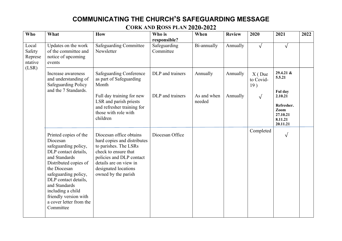| Who                                            | What                                                                                                                                                                                                                                                                                               | <b>How</b>                                                                                                                                                                                                   | Who is                    | When                  | <b>Review</b> | 2020                         | 2021                                                                        | 2022 |
|------------------------------------------------|----------------------------------------------------------------------------------------------------------------------------------------------------------------------------------------------------------------------------------------------------------------------------------------------------|--------------------------------------------------------------------------------------------------------------------------------------------------------------------------------------------------------------|---------------------------|-----------------------|---------------|------------------------------|-----------------------------------------------------------------------------|------|
|                                                |                                                                                                                                                                                                                                                                                                    |                                                                                                                                                                                                              | responsible?              |                       |               |                              |                                                                             |      |
| Local<br>Safety<br>Represe<br>ntative<br>(LSR) | Updates on the work<br>of the committee and<br>notice of upcoming<br>events                                                                                                                                                                                                                        | <b>Safeguarding Committee</b><br>Newsletter                                                                                                                                                                  | Safeguarding<br>Committee | Bi-annually           | Annually      | $\sqrt{ }$                   | $\sqrt{ }$                                                                  |      |
|                                                | Increase awareness<br>and understanding of<br><b>Safeguarding Policy</b><br>and the 7 Standards.                                                                                                                                                                                                   | <b>Safeguarding Conference</b><br>as part of Safeguarding<br>Month                                                                                                                                           | DLP and trainers          | Annually              | Annually      | $X($ Due<br>to Covid-<br>19) | $29.4.21 \&$<br>5.5.21                                                      |      |
|                                                |                                                                                                                                                                                                                                                                                                    | Full day training for new<br>LSR and parish priests<br>and refresher training for<br>those with role with<br>children                                                                                        | DLP and trainers          | As and when<br>needed | Annually      | $\sqrt{ }$                   | Ful day<br>2.10.21<br>Refresher.<br>Zoom<br>27.10.21<br>8.11.21<br>20.11.21 |      |
|                                                | Printed copies of the<br>Diocesan<br>safeguarding policy,<br>DLP contact details,<br>and Standards<br>Distributed copies of<br>the Diocesan<br>safeguarding policy,<br>DLP contact details,<br>and Standards<br>including a child<br>friendly version with<br>a cover letter from the<br>Committee | Diocesan office obtains<br>hard copies and distributes<br>to parishes. The LSRs<br>check to ensure that<br>policies and DLP contact<br>details are on view in<br>designated locations<br>owned by the parish | Diocesan Office           |                       |               | Completed                    | $\sqrt{ }$                                                                  |      |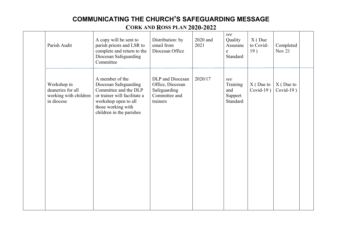| Parish Audit                                                            | A copy will be sent to<br>parish priests and LSR to<br>complete and return to the<br>Diocesan Safeguarding<br>Committee                                                     | Distribution: by<br>email from<br>Diocesan Office                                 | 2020 and<br>2021 | see<br>Quality<br>Assuranc<br>e<br>Standard   | $X($ Due<br>to Covid-<br>19) | Completed<br>Nov 21         |  |
|-------------------------------------------------------------------------|-----------------------------------------------------------------------------------------------------------------------------------------------------------------------------|-----------------------------------------------------------------------------------|------------------|-----------------------------------------------|------------------------------|-----------------------------|--|
| Workshop in<br>deaneries for all<br>working with children<br>in diocese | A member of the<br>Diocesan Safeguarding<br>Committee and the DLP<br>or trainer will facilitate a<br>workshop open to all<br>those working with<br>children in the parishes | DLP and Diocesan<br>Office, Diocesan<br>Safeguarding<br>Committee and<br>trainers | 2020/17          | see<br>Training<br>and<br>Support<br>Standard | $X($ Due to<br>Covid-19 $)$  | $X($ Due to<br>Covid-19 $)$ |  |
|                                                                         |                                                                                                                                                                             |                                                                                   |                  |                                               |                              |                             |  |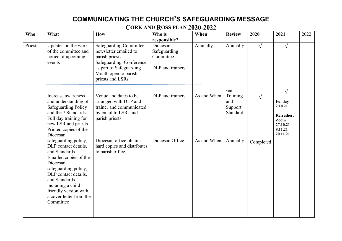| Who     | What                                                                                                                                                                                                                                                      | <b>How</b>                                                                                                                                                                 | Who is                                                    | When        | <b>Review</b>                                 | 2020       | 2021                                                                                      | 2022 |
|---------|-----------------------------------------------------------------------------------------------------------------------------------------------------------------------------------------------------------------------------------------------------------|----------------------------------------------------------------------------------------------------------------------------------------------------------------------------|-----------------------------------------------------------|-------------|-----------------------------------------------|------------|-------------------------------------------------------------------------------------------|------|
|         |                                                                                                                                                                                                                                                           |                                                                                                                                                                            | responsible?                                              |             |                                               |            |                                                                                           |      |
| Priests | Updates on the work<br>of the committee and<br>notice of upcoming<br>events                                                                                                                                                                               | <b>Safeguarding Committee</b><br>newsletter emailed to<br>parish priests<br>Safeguarding Conference<br>as part of Safeguarding<br>Month open to parish<br>priests and LSRs | Diocesan<br>Safeguarding<br>Committee<br>DLP and trainers | Annually    | Annually                                      | $\sqrt{ }$ | $\sqrt{ }$                                                                                |      |
|         | Increase awareness<br>and understanding of<br><b>Safeguarding Policy</b><br>and the 7 Standards<br>Full day training for<br>new LSR and priests<br>Printed copies of the<br>Diocesan                                                                      | Venue and dates to be<br>arranged with DLP and<br>trainer and communicated<br>by email to LSRs and<br>parish priests                                                       | DLP and trainers                                          | As and When | see<br>Training<br>and<br>Support<br>Standard |            | $\sqrt{ }$<br>Ful day<br>2.10.21<br>Refresher.<br>Zoom<br>27.10.21<br>8.11.21<br>20.11.21 |      |
|         | safeguarding policy,<br>DLP contact details,<br>and Standards<br>Emailed copies of the<br>Diocesan<br>safeguarding policy,<br>DLP contact details,<br>and Standards<br>including a child<br>friendly version with<br>a cover letter from the<br>Committee | Diocesan office obtains<br>hard copies and distributes<br>to parish office.                                                                                                | Diocesan Office                                           | As and When | Annually                                      | Completed  |                                                                                           |      |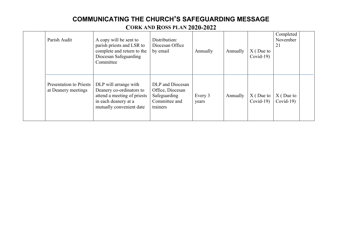| Parish Audit                                          | A copy will be sent to<br>parish priests and LSR to<br>complete and return to the<br>Diocesan Safeguarding<br>Committee              | Distribution:<br>Diocesan Office<br>by email                                      | Annually         | Annually | $X($ Due to<br>$Covid-19$ | Completed<br>November<br>21 |  |
|-------------------------------------------------------|--------------------------------------------------------------------------------------------------------------------------------------|-----------------------------------------------------------------------------------|------------------|----------|---------------------------|-----------------------------|--|
| <b>Presentation to Priests</b><br>at Deanery meetings | DLP will arrange with<br>Deanery co-ordinators to<br>attend a meeting of priests<br>in each deanery at a<br>mutually convenient date | DLP and Diocesan<br>Office, Diocesan<br>Safeguarding<br>Committee and<br>trainers | Every 3<br>years | Annually | $X($ Due to<br>$Covid-19$ | $X($ Due to<br>$Covid-19$   |  |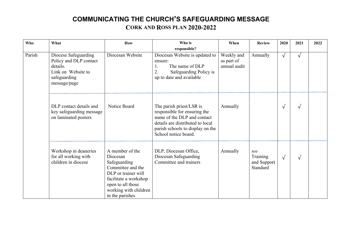| Who    | What                                                                                                             | How                                                                                                                                                                               | Who is<br>responsible?                                                                                                                                                                  | When                                     | <b>Review</b>                                              | 2020       | 2021                                   | 2022 |
|--------|------------------------------------------------------------------------------------------------------------------|-----------------------------------------------------------------------------------------------------------------------------------------------------------------------------------|-----------------------------------------------------------------------------------------------------------------------------------------------------------------------------------------|------------------------------------------|------------------------------------------------------------|------------|----------------------------------------|------|
| Parish | Diocese Safeguarding<br>Policy and DLP contact<br>details.<br>Link on Website to<br>safeguarding<br>message/page | Diocesan Website                                                                                                                                                                  | Diocesan Website is updated to<br>ensure:<br>The name of DLP<br>2.<br>Safeguarding Policy is<br>up to date and available                                                                | Weekly and<br>as part of<br>annual audit | Annually                                                   | $\sqrt{ }$ | $\sqrt{ }$<br>$\sqrt{ }$<br>$\sqrt{ }$ |      |
|        | DLP contact details and<br>key safeguarding message<br>on laminated posters                                      | Notice Board                                                                                                                                                                      | The parish priest/LSR is<br>responsible for ensuring the<br>name of the DLP and contact<br>details are distributed to local<br>parish schools to display on the<br>School notice board. | Annually                                 | $\sqrt{ }$<br>see<br>Training<br>$\sqrt{ }$<br>and Support |            |                                        |      |
|        | Workshop in deaneries<br>for all working with<br>children in diocese                                             | A member of the<br>Diocesan<br>Safeguarding<br>Committee and the<br>DLP or trainer will<br>facilitate a workshop<br>open to all those<br>working with children<br>in the parishes | DLP, Diocesan Office,<br>Diocesan Safeguarding<br>Committee and trainers                                                                                                                | Annually                                 | Standard                                                   |            |                                        |      |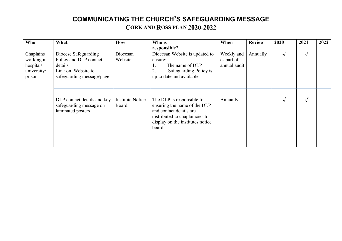| Who                                                           | What                                                                                                         | <b>How</b>                       | Who is<br>responsible?                                                                                                                                                | When                                     | <b>Review</b> | 2020       | 2021       | 2022 |
|---------------------------------------------------------------|--------------------------------------------------------------------------------------------------------------|----------------------------------|-----------------------------------------------------------------------------------------------------------------------------------------------------------------------|------------------------------------------|---------------|------------|------------|------|
| Chaplains<br>working in<br>hospital/<br>university/<br>prison | Diocese Safeguarding<br>Policy and DLP contact<br>details<br>Link on Website to<br>safeguarding message/page | Diocesan<br>Website              | Diocesan Website is updated to<br>ensure:<br>The name of DLP<br>1.<br>Safeguarding Policy is<br>2.<br>up to date and available                                        | Weekly and<br>as part of<br>annual audit | Annually      |            | $\sqrt{ }$ |      |
|                                                               | DLP contact details and key<br>safeguarding message on<br>laminated posters                                  | <b>Institute Notice</b><br>Board | The DLP is responsible for<br>ensuring the name of the DLP<br>and contact details are<br>distributed to chaplaincies to<br>display on the institutes notice<br>board. | Annually                                 |               | $\sqrt{ }$ | $\sqrt{ }$ |      |